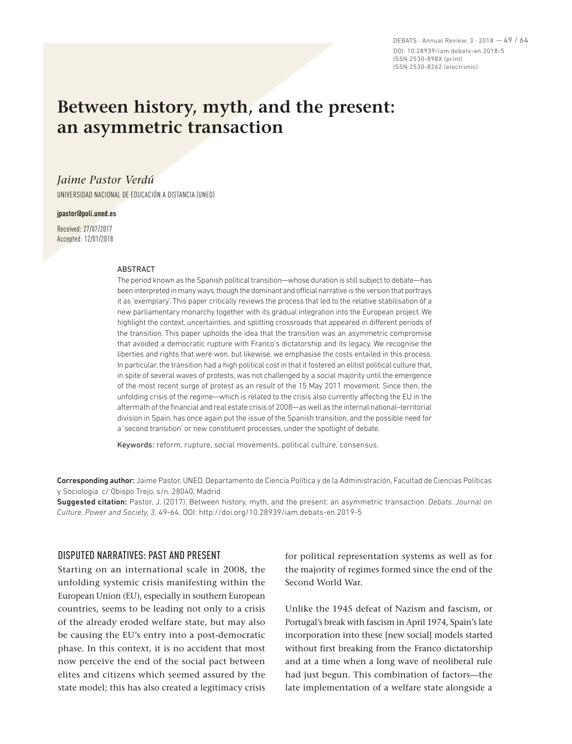DEBATS · Annual Review, 3 · 2018 — 49 / 64 DOI: 10.28939/iam.debats-en.2018-5 ISSN 2530-898X (print) ISSN 2530-8262 (electronic)

# **Between history, myth, and the present: an asymmetric transaction**

# *Jaime Pastor Verdú*

UNIVERSIDAD NACIONAL DE EDUCACIÓN A DISTANCIA (UNED)

#### **jpastor@poli.uned.es**

Received: 27/07/2017 Accepted: 12/01/2018

#### ABSTRACT

The period known as the Spanish political transition—whose duration is still subject to debate—has been interpreted in many ways, though the dominant and official narrative is the version that portrays it as 'exemplary'. This paper critically reviews the process that led to the relative stabilisation of a new parliamentary monarchy together with its gradual integration into the European project. We highlight the context, uncertainties, and splitting crossroads that appeared in different periods of the transition. This paper upholds the idea that the transition was an asymmetric compromise that avoided a democratic rupture with Franco's dictatorship and its legacy. We recognise the liberties and rights that were won, but likewise, we emphasise the costs entailed in this process. In particular, the transition had a high political cost in that it fostered an elitist political culture that, in spite of several waves of protests, was not challenged by a social majority until the emergence of the most recent surge of protest as an result of the 15 May 2011 movement. Since then, the unfolding crisis of the regime—which is related to the crisis also currently affecting the EU in the aftermath of the financial and real estate crisis of 2008—as well as the internal national–territorial division in Spain, has once again put the issue of the Spanish transition, and the possible need for a 'second transition' or new constituent processes, under the spotlight of debate.

Keywords: reform, rupture, social movements, political culture, consensus.

Corresponding author: Jaime Pastor, UNED, Departamento de Ciencia Política y de la Administración, Facultad de Ciencias Políticas y Sociología. c/ Obispo Trejo, s/n. 28040, Madrid.

Suggested citation: Pastor, J. (2017). Between history, myth, and the present: an asymmetric transaction. *Debats. Journal on Culture, Power and Society, 3*, 49-64. DOI: http://doi.org/10.28939/iam.debats-en.2019-5

### DISPUTED NARRATIVES: PAST AND PRESENT

Starting on an international scale in 2008, the unfolding systemic crisis manifesting within the European Union (EU), especially in southern European countries, seems to be leading not only to a crisis of the already eroded welfare state, but may also be causing the EU's entry into a post-democratic phase. In this context, it is no accident that most now perceive the end of the social pact between elites and citizens which seemed assured by the state model; this has also created a legitimacy crisis for political representation systems as well as for the majority of regimes formed since the end of the Second World War.

Unlike the 1945 defeat of Nazism and fascism, or Portugal's break with fascism in April 1974, Spain's late incorporation into these [new social] models started without first breaking from the Franco dictatorship and at a time when a long wave of neoliberal rule had just begun. This combination of factors—the late implementation of a welfare state alongside a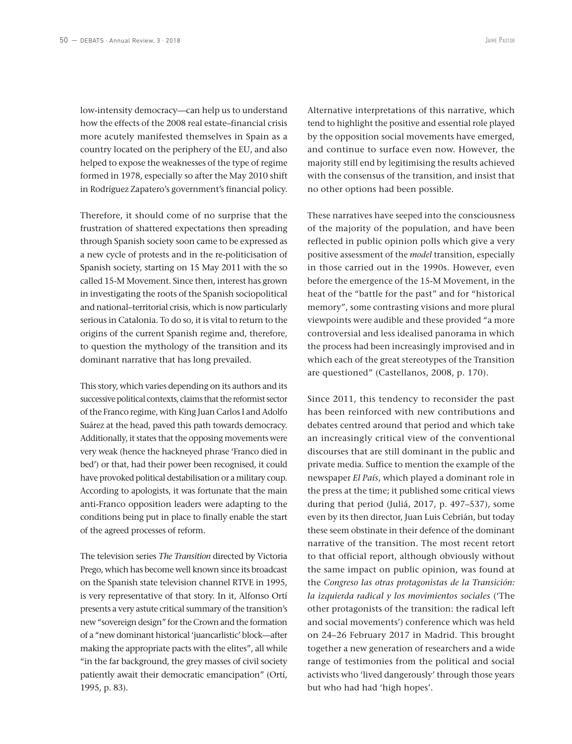low-intensity democracy—can help us to understand how the effects of the 2008 real estate–financial crisis more acutely manifested themselves in Spain as a country located on the periphery of the EU, and also helped to expose the weaknesses of the type of regime formed in 1978, especially so after the May 2010 shift in Rodríguez Zapatero's government's financial policy.

Therefore, it should come of no surprise that the frustration of shattered expectations then spreading through Spanish society soon came to be expressed as a new cycle of protests and in the re-politicisation of Spanish society, starting on 15 May 2011 with the so called 15-M Movement. Since then, interest has grown in investigating the roots of the Spanish sociopolitical and national–territorial crisis, which is now particularly serious in Catalonia. To do so, it is vital to return to the origins of the current Spanish regime and, therefore, to question the mythology of the transition and its dominant narrative that has long prevailed.

This story, which varies depending on its authors and its successive political contexts, claims that the reformist sector of the Franco regime, with King Juan Carlos I and Adolfo Suárez at the head, paved this path towards democracy. Additionally, it states that the opposing movements were very weak (hence the hackneyed phrase 'Franco died in bed') or that, had their power been recognised, it could have provoked political destabilisation or a military coup. According to apologists, it was fortunate that the main anti-Franco opposition leaders were adapting to the conditions being put in place to finally enable the start of the agreed processes of reform.

The television series *The Transition* directed by Victoria Prego, which has become well known since its broadcast on the Spanish state television channel RTVE in 1995, is very representative of that story. In it, Alfonso Ortí presents a very astute critical summary of the transition's new "sovereign design" for the Crown and the formation of a "new dominant historical 'juancarlistic' block—after making the appropriate pacts with the elites", all while "in the far background, the grey masses of civil society patiently await their democratic emancipation" (Ortí, 1995, p. 83).

Alternative interpretations of this narrative, which tend to highlight the positive and essential role played by the opposition social movements have emerged, and continue to surface even now. However, the majority still end by legitimising the results achieved with the consensus of the transition, and insist that no other options had been possible.

These narratives have seeped into the consciousness of the majority of the population, and have been reflected in public opinion polls which give a very positive assessment of the *model* transition, especially in those carried out in the 1990s. However, even before the emergence of the 15-M Movement, in the heat of the "battle for the past" and for "historical memory", some contrasting visions and more plural viewpoints were audible and these provided "a more controversial and less idealised panorama in which the process had been increasingly improvised and in which each of the great stereotypes of the Transition are questioned" (Castellanos, 2008, p. 170).

Since 2011, this tendency to reconsider the past has been reinforced with new contributions and debates centred around that period and which take an increasingly critical view of the conventional discourses that are still dominant in the public and private media. Suffice to mention the example of the newspaper *El País*, which played a dominant role in the press at the time; it published some critical views during that period (Juliá, 2017, p. 497–537), some even by its then director, Juan Luis Cebrián, but today these seem obstinate in their defence of the dominant narrative of the transition. The most recent retort to that official report, although obviously without the same impact on public opinion, was found at the *Congreso las otras protagonistas de la Transición: la izquierda radical y los movimientos sociales* ('The other protagonists of the transition: the radical left and social movements') conference which was held on 24–26 February 2017 in Madrid. This brought together a new generation of researchers and a wide range of testimonies from the political and social activists who 'lived dangerously' through those years but who had had 'high hopes'.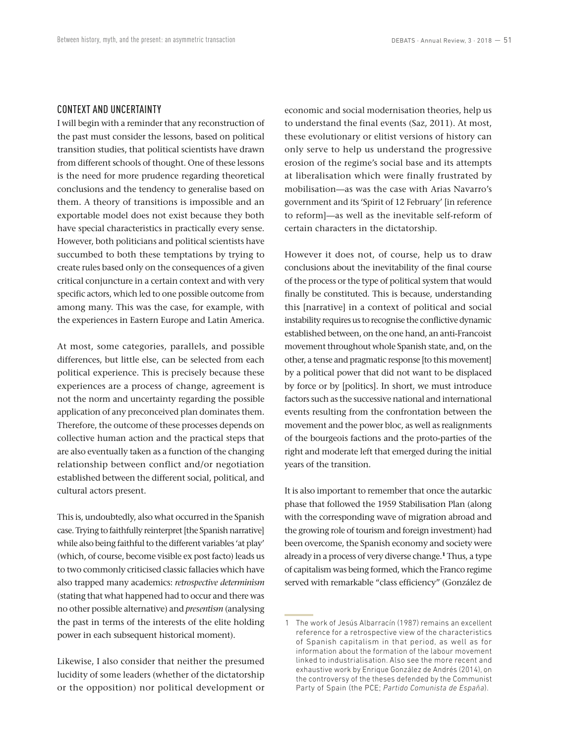## CONTEXT AND UNCERTAINTY

I will begin with a reminder that any reconstruction of the past must consider the lessons, based on political transition studies, that political scientists have drawn from different schools of thought. One of these lessons is the need for more prudence regarding theoretical conclusions and the tendency to generalise based on them. A theory of transitions is impossible and an exportable model does not exist because they both have special characteristics in practically every sense. However, both politicians and political scientists have succumbed to both these temptations by trying to create rules based only on the consequences of a given critical conjuncture in a certain context and with very specific actors, which led to one possible outcome from among many. This was the case, for example, with the experiences in Eastern Europe and Latin America.

At most, some categories, parallels, and possible differences, but little else, can be selected from each political experience. This is precisely because these experiences are a process of change, agreement is not the norm and uncertainty regarding the possible application of any preconceived plan dominates them. Therefore, the outcome of these processes depends on collective human action and the practical steps that are also eventually taken as a function of the changing relationship between conflict and/or negotiation established between the different social, political, and cultural actors present.

This is, undoubtedly, also what occurred in the Spanish case. Trying to faithfully reinterpret [the Spanish narrative] while also being faithful to the different variables 'at play' (which, of course, become visible ex post facto) leads us to two commonly criticised classic fallacies which have also trapped many academics: *retrospective determinism* (stating that what happened had to occur and there was no other possible alternative) and *presentism* (analysing the past in terms of the interests of the elite holding power in each subsequent historical moment).

Likewise, I also consider that neither the presumed lucidity of some leaders (whether of the dictatorship or the opposition) nor political development or economic and social modernisation theories, help us to understand the final events (Saz, 2011). At most, these evolutionary or elitist versions of history can only serve to help us understand the progressive erosion of the regime's social base and its attempts at liberalisation which were finally frustrated by mobilisation—as was the case with Arias Navarro's government and its 'Spirit of 12 February' [in reference to reform]—as well as the inevitable self-reform of certain characters in the dictatorship.

However it does not, of course, help us to draw conclusions about the inevitability of the final course of the process or the type of political system that would finally be constituted. This is because, understanding this [narrative] in a context of political and social instability requires us to recognise the conflictive dynamic established between, on the one hand, an anti-Francoist movement throughout whole Spanish state, and, on the other, a tense and pragmatic response [to this movement] by a political power that did not want to be displaced by force or by [politics]. In short, we must introduce factors such as the successive national and international events resulting from the confrontation between the movement and the power bloc, as well as realignments of the bourgeois factions and the proto-parties of the right and moderate left that emerged during the initial years of the transition.

It is also important to remember that once the autarkic phase that followed the 1959 Stabilisation Plan (along with the corresponding wave of migration abroad and the growing role of tourism and foreign investment) had been overcome, the Spanish economy and society were already in a process of very diverse change.**<sup>1</sup>** Thus, a type of capitalism was being formed, which the Franco regime served with remarkable "class efficiency" (González de

<sup>1</sup> The work of Jesús Albarracín (1987) remains an excellent reference for a retrospective view of the characteristics of Spanish capitalism in that period, as well as for information about the formation of the labour movement linked to industrialisation. Also see the more recent and exhaustive work by Enrique González de Andrés (2014), on the controversy of the theses defended by the Communist Party of Spain (the PCE; *Partido Comunista de España*).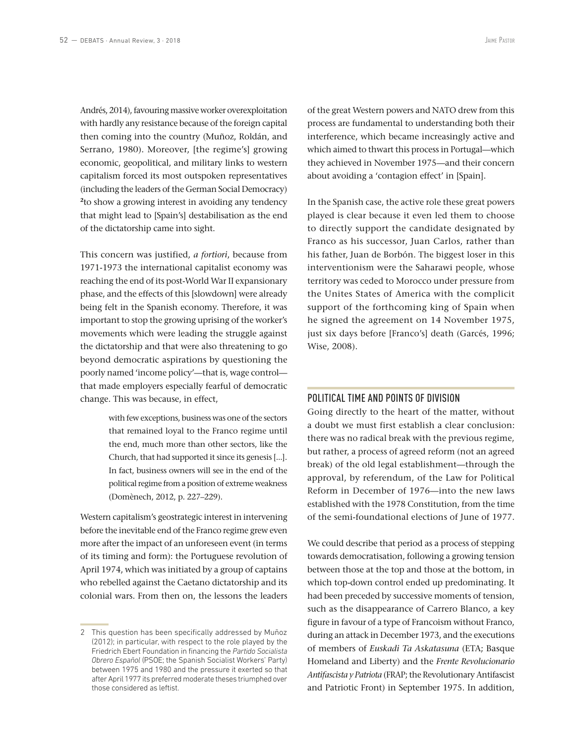Andrés, 2014), favouring massive worker overexploitation with hardly any resistance because of the foreign capital then coming into the country (Muñoz, Roldán, and Serrano, 1980). Moreover, [the regime's] growing economic, geopolitical, and military links to western capitalism forced its most outspoken representatives (including the leaders of the German Social Democracy) **<sup>2</sup>**to show a growing interest in avoiding any tendency that might lead to [Spain's] destabilisation as the end of the dictatorship came into sight.

This concern was justified, *a fortiori*, because from 1971-1973 the international capitalist economy was reaching the end of its post-World War II expansionary phase, and the effects of this [slowdown] were already being felt in the Spanish economy. Therefore, it was important to stop the growing uprising of the worker's movements which were leading the struggle against the dictatorship and that were also threatening to go beyond democratic aspirations by questioning the poorly named 'income policy'—that is, wage control that made employers especially fearful of democratic change. This was because, in effect,

> with few exceptions, business was one of the sectors that remained loyal to the Franco regime until the end, much more than other sectors, like the Church, that had supported it since its genesis [...]. In fact, business owners will see in the end of the political regime from a position of extreme weakness (Domènech, 2012, p. 227–229).

Western capitalism's geostrategic interest in intervening before the inevitable end of the Franco regime grew even more after the impact of an unforeseen event (in terms of its timing and form): the Portuguese revolution of April 1974, which was initiated by a group of captains who rebelled against the Caetano dictatorship and its colonial wars. From then on, the lessons the leaders

of the great Western powers and NATO drew from this process are fundamental to understanding both their interference, which became increasingly active and which aimed to thwart this process in Portugal—which they achieved in November 1975—and their concern about avoiding a 'contagion effect' in [Spain].

In the Spanish case, the active role these great powers played is clear because it even led them to choose to directly support the candidate designated by Franco as his successor, Juan Carlos, rather than his father, Juan de Borbón. The biggest loser in this interventionism were the Saharawi people, whose territory was ceded to Morocco under pressure from the Unites States of America with the complicit support of the forthcoming king of Spain when he signed the agreement on 14 November 1975, just six days before [Franco's] death (Garcés, 1996; Wise, 2008).

## POLITICAL TIME AND POINTS OF DIVISION

Going directly to the heart of the matter, without a doubt we must first establish a clear conclusion: there was no radical break with the previous regime, but rather, a process of agreed reform (not an agreed break) of the old legal establishment—through the approval, by referendum, of the Law for Political Reform in December of 1976—into the new laws established with the 1978 Constitution, from the time of the semi-foundational elections of June of 1977.

We could describe that period as a process of stepping towards democratisation, following a growing tension between those at the top and those at the bottom, in which top-down control ended up predominating. It had been preceded by successive moments of tension, such as the disappearance of Carrero Blanco, a key figure in favour of a type of Francoism without Franco, during an attack in December 1973, and the executions of members of *Euskadi Ta Askatasuna* (ETA; Basque Homeland and Liberty) and the *Frente Revolucionario Antifascista y Patriota* (FRAP; the Revolutionary Antifascist and Patriotic Front) in September 1975. In addition,

<sup>2</sup> This question has been specifically addressed by Muñoz (2012); in particular, with respect to the role played by the Friedrich Ebert Foundation in financing the *Partido Socialista Obrero Español* (PSOE; the Spanish Socialist Workers' Party) between 1975 and 1980 and the pressure it exerted so that after April 1977 its preferred moderate theses triumphed over those considered as leftist.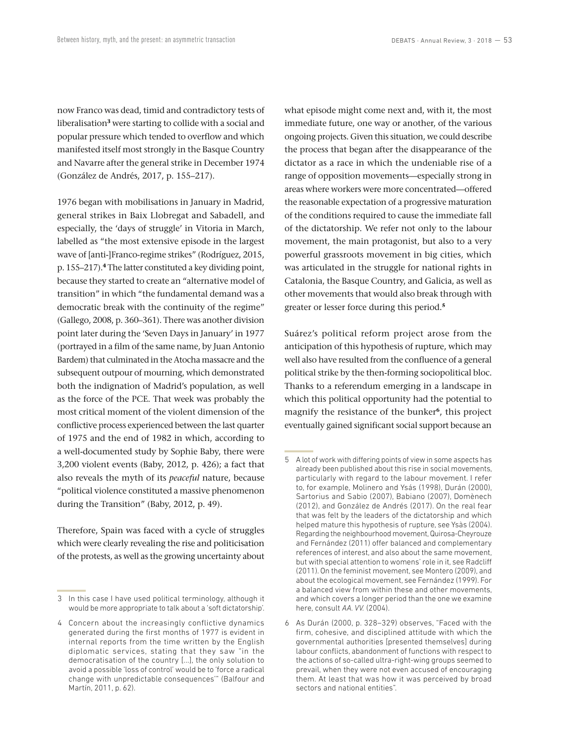now Franco was dead, timid and contradictory tests of liberalisation**<sup>3</sup>** were starting to collide with a social and popular pressure which tended to overflow and which manifested itself most strongly in the Basque Country and Navarre after the general strike in December 1974 (González de Andrés, 2017, p. 155–217).

1976 began with mobilisations in January in Madrid, general strikes in Baix Llobregat and Sabadell, and especially, the 'days of struggle' in Vitoria in March, labelled as "the most extensive episode in the largest wave of [anti-]Franco-regime strikes" (Rodríguez, 2015, p. 155–217).**<sup>4</sup>** The latter constituted a key dividing point, because they started to create an "alternative model of transition" in which "the fundamental demand was a democratic break with the continuity of the regime" (Gallego, 2008, p. 360–361). There was another division point later during the 'Seven Days in January' in 1977 (portrayed in a film of the same name, by Juan Antonio Bardem) that culminated in the Atocha massacre and the subsequent outpour of mourning, which demonstrated both the indignation of Madrid's population, as well as the force of the PCE. That week was probably the most critical moment of the violent dimension of the conflictive process experienced between the last quarter of 1975 and the end of 1982 in which, according to a well-documented study by Sophie Baby, there were 3,200 violent events (Baby, 2012, p. 426); a fact that also reveals the myth of its *peaceful* nature, because "political violence constituted a massive phenomenon during the Transition" (Baby, 2012, p. 49).

Therefore, Spain was faced with a cycle of struggles which were clearly revealing the rise and politicisation of the protests, as well as the growing uncertainty about what episode might come next and, with it, the most immediate future, one way or another, of the various ongoing projects. Given this situation, we could describe the process that began after the disappearance of the dictator as a race in which the undeniable rise of a range of opposition movements—especially strong in areas where workers were more concentrated—offered the reasonable expectation of a progressive maturation of the conditions required to cause the immediate fall of the dictatorship. We refer not only to the labour movement, the main protagonist, but also to a very powerful grassroots movement in big cities, which was articulated in the struggle for national rights in Catalonia, the Basque Country, and Galicia, as well as other movements that would also break through with greater or lesser force during this period.**<sup>5</sup>**

Suárez's political reform project arose from the anticipation of this hypothesis of rupture, which may well also have resulted from the confluence of a general political strike by the then-forming sociopolitical bloc. Thanks to a referendum emerging in a landscape in which this political opportunity had the potential to magnify the resistance of the bunker**<sup>6</sup>**, this project eventually gained significant social support because an

<sup>3</sup> In this case I have used political terminology, although it would be more appropriate to talk about a 'soft dictatorship'.

<sup>4</sup> Concern about the increasingly conflictive dynamics generated during the first months of 1977 is evident in internal reports from the time written by the English diplomatic services, stating that they saw "in the democratisation of the country [...], the only solution to avoid a possible 'loss of control' would be to 'force a radical change with unpredictable consequences'" (Balfour and Martín, 2011, p. 62).

<sup>5</sup> A lot of work with differing points of view in some aspects has already been published about this rise in social movements, particularly with regard to the labour movement. I refer to, for example, Molinero and Ysás (1998), Durán (2000), Sartorius and Sabio (2007), Babiano (2007), Domènech (2012), and González de Andrés (2017). On the real fear that was felt by the leaders of the dictatorship and which helped mature this hypothesis of rupture, see Ysàs (2004). Regarding the neighbourhood movement, Quirosa-Cheyrouze and Fernández (2011) offer balanced and complementary references of interest, and also about the same movement, but with special attention to womens' role in it, see Radcliff (2011). On the feminist movement, see Montero (2009), and about the ecological movement, see Fernández (1999). For a balanced view from within these and other movements, and which covers a longer period than the one we examine here, consult *AA. VV.* (2004).

<sup>6</sup> As Durán (2000, p. 328–329) observes, "Faced with the firm, cohesive, and disciplined attitude with which the governmental authorities [presented themselves] during labour conflicts, abandonment of functions with respect to the actions of so-called ultra-right-wing groups seemed to prevail, when they were not even accused of encouraging them. At least that was how it was perceived by broad sectors and national entities".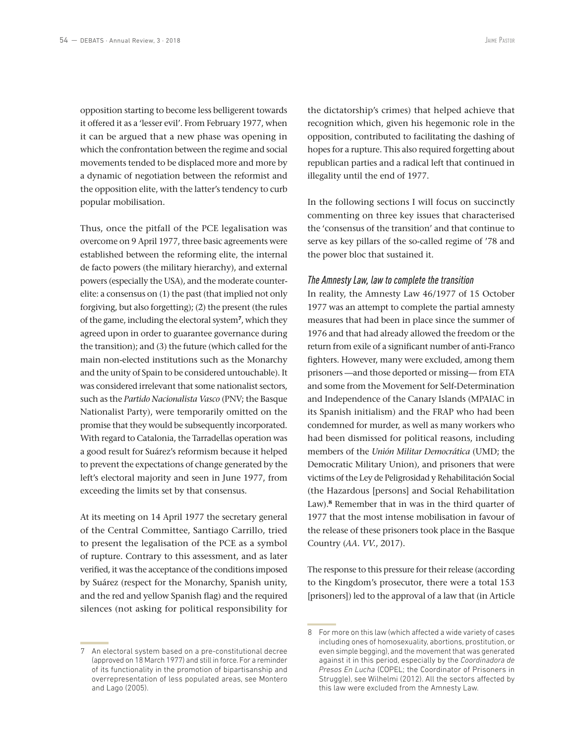opposition starting to become less belligerent towards it offered it as a 'lesser evil'. From February 1977, when it can be argued that a new phase was opening in which the confrontation between the regime and social movements tended to be displaced more and more by a dynamic of negotiation between the reformist and the opposition elite, with the latter's tendency to curb popular mobilisation.

Thus, once the pitfall of the PCE legalisation was overcome on 9 April 1977, three basic agreements were established between the reforming elite, the internal de facto powers (the military hierarchy), and external powers (especially the USA), and the moderate counterelite: a consensus on (1) the past (that implied not only forgiving, but also forgetting); (2) the present (the rules of the game, including the electoral system**<sup>7</sup>**, which they agreed upon in order to guarantee governance during the transition); and (3) the future (which called for the main non-elected institutions such as the Monarchy and the unity of Spain to be considered untouchable). It was considered irrelevant that some nationalist sectors, such as the *Partido Nacionalista Vasco* (PNV; the Basque Nationalist Party), were temporarily omitted on the promise that they would be subsequently incorporated. With regard to Catalonia, the Tarradellas operation was a good result for Suárez's reformism because it helped to prevent the expectations of change generated by the left's electoral majority and seen in June 1977, from exceeding the limits set by that consensus.

At its meeting on 14 April 1977 the secretary general of the Central Committee, Santiago Carrillo, tried to present the legalisation of the PCE as a symbol of rupture. Contrary to this assessment, and as later verified, it was the acceptance of the conditions imposed by Suárez (respect for the Monarchy, Spanish unity, and the red and yellow Spanish flag) and the required silences (not asking for political responsibility for

7 An electoral system based on a pre-constitutional decree (approved on 18 March 1977) and still in force. For a reminder of its functionality in the promotion of bipartisanship and overrepresentation of less populated areas, see Montero and Lago (2005).

the dictatorship's crimes) that helped achieve that recognition which, given his hegemonic role in the opposition, contributed to facilitating the dashing of hopes for a rupture. This also required forgetting about republican parties and a radical left that continued in illegality until the end of 1977.

In the following sections I will focus on succinctly commenting on three key issues that characterised the 'consensus of the transition' and that continue to serve as key pillars of the so-called regime of '78 and the power bloc that sustained it.

#### *The Amnesty Law, law to complete the transition*

In reality, the Amnesty Law 46/1977 of 15 October 1977 was an attempt to complete the partial amnesty measures that had been in place since the summer of 1976 and that had already allowed the freedom or the return from exile of a significant number of anti-Franco fighters. However, many were excluded, among them prisoners —and those deported or missing— from ETA and some from the Movement for Self-Determination and Independence of the Canary Islands (MPAIAC in its Spanish initialism) and the FRAP who had been condemned for murder, as well as many workers who had been dismissed for political reasons, including members of the *Unión Militar Democrática* (UMD; the Democratic Military Union), and prisoners that were victims of the Ley de Peligrosidad y Rehabilitación Social (the Hazardous [persons] and Social Rehabilitation Law).<sup>8</sup> Remember that in was in the third quarter of 1977 that the most intense mobilisation in favour of the release of these prisoners took place in the Basque Country (*AA. VV.*, 2017).

The response to this pressure for their release (according to the Kingdom's prosecutor, there were a total 153 [prisoners]) led to the approval of a law that (in Article

<sup>8</sup> For more on this law (which affected a wide variety of cases including ones of homosexuality, abortions, prostitution, or even simple begging), and the movement that was generated against it in this period, especially by the *Coordinadora de Presos En Lucha* (COPEL; the Coordinator of Prisoners in Struggle), see Wilhelmi (2012). All the sectors affected by this law were excluded from the Amnesty Law.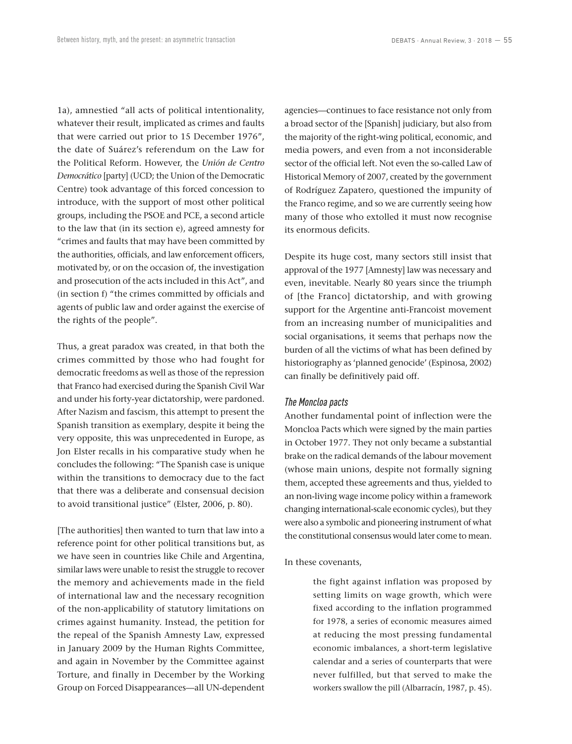1a), amnestied "all acts of political intentionality, whatever their result, implicated as crimes and faults that were carried out prior to 15 December 1976", the date of Suárez's referendum on the Law for the Political Reform. However, the *Unión de Centro Democrático* [party] (UCD; the Union of the Democratic Centre) took advantage of this forced concession to introduce, with the support of most other political groups, including the PSOE and PCE, a second article to the law that (in its section e), agreed amnesty for "crimes and faults that may have been committed by the authorities, officials, and law enforcement officers, motivated by, or on the occasion of, the investigation and prosecution of the acts included in this Act", and (in section f) "the crimes committed by officials and agents of public law and order against the exercise of the rights of the people".

Thus, a great paradox was created, in that both the crimes committed by those who had fought for democratic freedoms as well as those of the repression that Franco had exercised during the Spanish Civil War and under his forty-year dictatorship, were pardoned. After Nazism and fascism, this attempt to present the Spanish transition as exemplary, despite it being the very opposite, this was unprecedented in Europe, as Jon Elster recalls in his comparative study when he concludes the following: "The Spanish case is unique within the transitions to democracy due to the fact that there was a deliberate and consensual decision to avoid transitional justice" (Elster, 2006, p. 80).

[The authorities] then wanted to turn that law into a reference point for other political transitions but, as we have seen in countries like Chile and Argentina, similar laws were unable to resist the struggle to recover the memory and achievements made in the field of international law and the necessary recognition of the non-applicability of statutory limitations on crimes against humanity. Instead, the petition for the repeal of the Spanish Amnesty Law, expressed in January 2009 by the Human Rights Committee, and again in November by the Committee against Torture, and finally in December by the Working Group on Forced Disappearances—all UN-dependent agencies—continues to face resistance not only from a broad sector of the [Spanish] judiciary, but also from the majority of the right-wing political, economic, and media powers, and even from a not inconsiderable sector of the official left. Not even the so-called Law of Historical Memory of 2007, created by the government of Rodríguez Zapatero, questioned the impunity of the Franco regime, and so we are currently seeing how many of those who extolled it must now recognise its enormous deficits.

Despite its huge cost, many sectors still insist that approval of the 1977 [Amnesty] law was necessary and even, inevitable. Nearly 80 years since the triumph of [the Franco] dictatorship, and with growing support for the Argentine anti-Francoist movement from an increasing number of municipalities and social organisations, it seems that perhaps now the burden of all the victims of what has been defined by historiography as 'planned genocide' (Espinosa, 2002) can finally be definitively paid off.

### *The Moncloa pacts*

Another fundamental point of inflection were the Moncloa Pacts which were signed by the main parties in October 1977. They not only became a substantial brake on the radical demands of the labour movement (whose main unions, despite not formally signing them, accepted these agreements and thus, yielded to an non-living wage income policy within a framework changing international-scale economic cycles), but they were also a symbolic and pioneering instrument of what the constitutional consensus would later come to mean.

#### In these covenants,

the fight against inflation was proposed by setting limits on wage growth, which were fixed according to the inflation programmed for 1978, a series of economic measures aimed at reducing the most pressing fundamental economic imbalances, a short-term legislative calendar and a series of counterparts that were never fulfilled, but that served to make the workers swallow the pill (Albarracín, 1987, p. 45).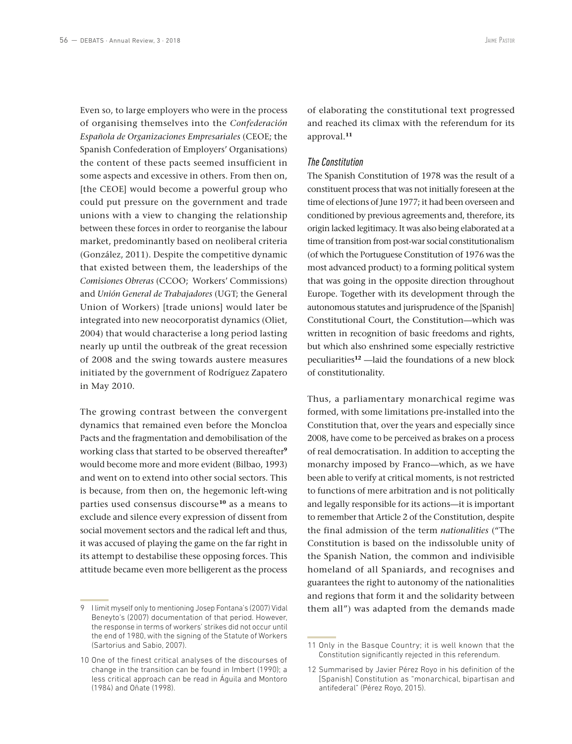Even so, to large employers who were in the process of organising themselves into the *Confederación Española de Organizaciones Empresariales* (CEOE; the Spanish Confederation of Employers' Organisations) the content of these pacts seemed insufficient in some aspects and excessive in others. From then on, [the CEOE] would become a powerful group who could put pressure on the government and trade unions with a view to changing the relationship between these forces in order to reorganise the labour market, predominantly based on neoliberal criteria (González, 2011). Despite the competitive dynamic that existed between them, the leaderships of the *Comisiones Obreras* (CCOO; Workers' Commissions) and *Unión General de Trabajadores* (UGT; the General Union of Workers) [trade unions] would later be integrated into new neocorporatist dynamics (Oliet, 2004) that would characterise a long period lasting nearly up until the outbreak of the great recession of 2008 and the swing towards austere measures initiated by the government of Rodríguez Zapatero in May 2010.

The growing contrast between the convergent dynamics that remained even before the Moncloa Pacts and the fragmentation and demobilisation of the working class that started to be observed thereafter**<sup>9</sup>** would become more and more evident (Bilbao, 1993) and went on to extend into other social sectors. This is because, from then on, the hegemonic left-wing parties used consensus discourse**<sup>10</sup>** as a means to exclude and silence every expression of dissent from social movement sectors and the radical left and thus, it was accused of playing the game on the far right in its attempt to destabilise these opposing forces. This attitude became even more belligerent as the process

of elaborating the constitutional text progressed and reached its climax with the referendum for its approval.**<sup>11</sup>**

#### *The Constitution*

The Spanish Constitution of 1978 was the result of a constituent process that was not initially foreseen at the time of elections of June 1977; it had been overseen and conditioned by previous agreements and, therefore, its origin lacked legitimacy. It was also being elaborated at a time of transition from post-war social constitutionalism (of which the Portuguese Constitution of 1976 was the most advanced product) to a forming political system that was going in the opposite direction throughout Europe. Together with its development through the autonomous statutes and jurisprudence of the [Spanish] Constitutional Court, the Constitution—which was written in recognition of basic freedoms and rights, but which also enshrined some especially restrictive peculiarities**<sup>12</sup>** —laid the foundations of a new block of constitutionality.

Thus, a parliamentary monarchical regime was formed, with some limitations pre-installed into the Constitution that, over the years and especially since 2008, have come to be perceived as brakes on a process of real democratisation. In addition to accepting the monarchy imposed by Franco—which, as we have been able to verify at critical moments, is not restricted to functions of mere arbitration and is not politically and legally responsible for its actions—it is important to remember that Article 2 of the Constitution, despite the final admission of the term *nationalities* ("The Constitution is based on the indissoluble unity of the Spanish Nation, the common and indivisible homeland of all Spaniards, and recognises and guarantees the right to autonomy of the nationalities and regions that form it and the solidarity between them all") was adapted from the demands made

<sup>9</sup> I limit myself only to mentioning Josep Fontana's (2007) Vidal Beneyto's (2007) documentation of that period. However, the response in terms of workers' strikes did not occur until the end of 1980, with the signing of the Statute of Workers (Sartorius and Sabio, 2007).

<sup>10</sup> One of the finest critical analyses of the discourses of change in the transition can be found in Imbert (1990); a less critical approach can be read in Águila and Montoro (1984) and Oñate (1998).

<sup>11</sup> Only in the Basque Country; it is well known that the Constitution significantly rejected in this referendum.

<sup>12</sup> Summarised by Javier Pérez Royo in his definition of the [Spanish] Constitution as "monarchical, bipartisan and antifederal" (Pérez Royo, 2015).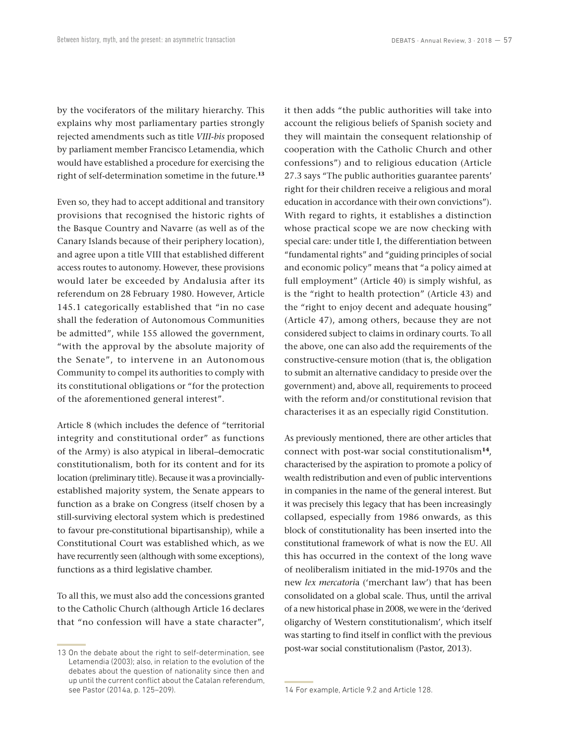by the vociferators of the military hierarchy. This explains why most parliamentary parties strongly rejected amendments such as title *VIII-bis* proposed by parliament member Francisco Letamendia, which would have established a procedure for exercising the right of self-determination sometime in the future.**<sup>13</sup>**

Even so, they had to accept additional and transitory provisions that recognised the historic rights of the Basque Country and Navarre (as well as of the Canary Islands because of their periphery location), and agree upon a title VIII that established different access routes to autonomy. However, these provisions would later be exceeded by Andalusia after its referendum on 28 February 1980. However, Article 145.1 categorically established that "in no case shall the federation of Autonomous Communities be admitted", while 155 allowed the government, "with the approval by the absolute majority of the Senate", to intervene in an Autonomous Community to compel its authorities to comply with its constitutional obligations or "for the protection of the aforementioned general interest".

Article 8 (which includes the defence of "territorial integrity and constitutional order" as functions of the Army) is also atypical in liberal–democratic constitutionalism, both for its content and for its location (preliminary title). Because it was a provinciallyestablished majority system, the Senate appears to function as a brake on Congress (itself chosen by a still-surviving electoral system which is predestined to favour pre-constitutional bipartisanship), while a Constitutional Court was established which, as we have recurrently seen (although with some exceptions), functions as a third legislative chamber.

To all this, we must also add the concessions granted to the Catholic Church (although Article 16 declares that "no confession will have a state character", it then adds "the public authorities will take into account the religious beliefs of Spanish society and they will maintain the consequent relationship of cooperation with the Catholic Church and other confessions") and to religious education (Article 27.3 says "The public authorities guarantee parents' right for their children receive a religious and moral education in accordance with their own convictions"). With regard to rights, it establishes a distinction whose practical scope we are now checking with special care: under title I, the differentiation between "fundamental rights" and "guiding principles of social and economic policy" means that "a policy aimed at full employment" (Article 40) is simply wishful, as is the "right to health protection" (Article 43) and the "right to enjoy decent and adequate housing" (Article 47), among others, because they are not considered subject to claims in ordinary courts. To all the above, one can also add the requirements of the constructive-censure motion (that is, the obligation to submit an alternative candidacy to preside over the government) and, above all, requirements to proceed with the reform and/or constitutional revision that characterises it as an especially rigid Constitution.

As previously mentioned, there are other articles that connect with post-war social constitutionalism**<sup>14</sup>**, characterised by the aspiration to promote a policy of wealth redistribution and even of public interventions in companies in the name of the general interest. But it was precisely this legacy that has been increasingly collapsed, especially from 1986 onwards, as this block of constitutionality has been inserted into the constitutional framework of what is now the EU. All this has occurred in the context of the long wave of neoliberalism initiated in the mid-1970s and the new *lex mercatori*a ('merchant law') that has been consolidated on a global scale. Thus, until the arrival of a new historical phase in 2008, we were in the 'derived oligarchy of Western constitutionalism', which itself was starting to find itself in conflict with the previous post-war social constitutionalism (Pastor, 2013).

<sup>13</sup> On the debate about the right to self-determination, see Letamendia (2003); also, in relation to the evolution of the debates about the question of nationality since then and up until the current conflict about the Catalan referendum, see Pastor (2014a, p. 125–209).

<sup>14</sup> For example, Article 9.2 and Article 128.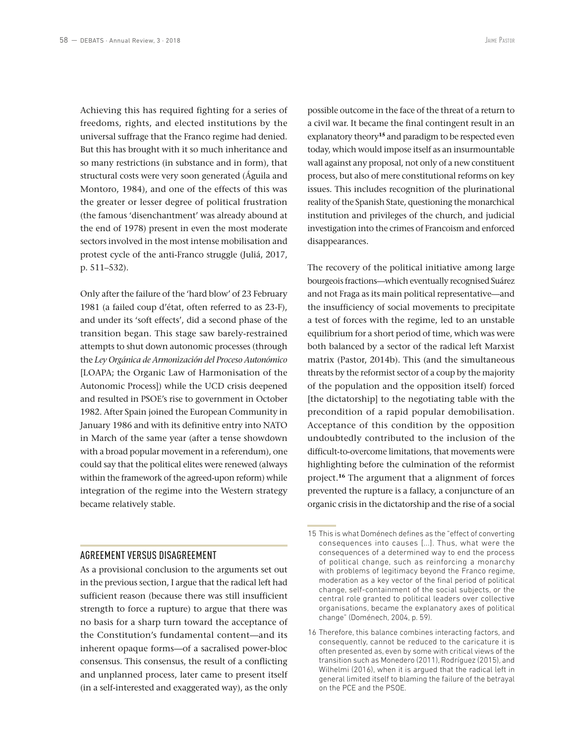Achieving this has required fighting for a series of freedoms, rights, and elected institutions by the universal suffrage that the Franco regime had denied. But this has brought with it so much inheritance and so many restrictions (in substance and in form), that structural costs were very soon generated (Águila and Montoro, 1984), and one of the effects of this was the greater or lesser degree of political frustration (the famous 'disenchantment' was already abound at the end of 1978) present in even the most moderate sectors involved in the most intense mobilisation and protest cycle of the anti-Franco struggle (Juliá, 2017, p. 511–532).

Only after the failure of the 'hard blow' of 23 February 1981 (a failed coup d'état, often referred to as 23-F), and under its 'soft effects', did a second phase of the transition began. This stage saw barely-restrained attempts to shut down autonomic processes (through the *Ley Orgánica de Armonización del Proceso Autonómico* [LOAPA; the Organic Law of Harmonisation of the Autonomic Process]) while the UCD crisis deepened and resulted in PSOE's rise to government in October 1982. After Spain joined the European Community in January 1986 and with its definitive entry into NATO in March of the same year (after a tense showdown with a broad popular movement in a referendum), one could say that the political elites were renewed (always within the framework of the agreed-upon reform) while integration of the regime into the Western strategy became relatively stable.

#### AGREEMENT VERSUS DISAGREEMENT

As a provisional conclusion to the arguments set out in the previous section, I argue that the radical left had sufficient reason (because there was still insufficient strength to force a rupture) to argue that there was no basis for a sharp turn toward the acceptance of the Constitution's fundamental content—and its inherent opaque forms—of a sacralised power-bloc consensus. This consensus, the result of a conflicting and unplanned process, later came to present itself (in a self-interested and exaggerated way), as the only possible outcome in the face of the threat of a return to a civil war. It became the final contingent result in an explanatory theory**<sup>15</sup>** and paradigm to be respected even today, which would impose itself as an insurmountable wall against any proposal, not only of a new constituent process, but also of mere constitutional reforms on key issues. This includes recognition of the plurinational reality of the Spanish State, questioning the monarchical institution and privileges of the church, and judicial investigation into the crimes of Francoism and enforced disappearances.

The recovery of the political initiative among large bourgeois fractions—which eventually recognised Suárez and not Fraga as its main political representative—and the insufficiency of social movements to precipitate a test of forces with the regime, led to an unstable equilibrium for a short period of time, which was were both balanced by a sector of the radical left Marxist matrix (Pastor, 2014b). This (and the simultaneous threats by the reformist sector of a coup by the majority of the population and the opposition itself) forced [the dictatorship] to the negotiating table with the precondition of a rapid popular demobilisation. Acceptance of this condition by the opposition undoubtedly contributed to the inclusion of the difficult-to-overcome limitations, that movements were highlighting before the culmination of the reformist project.**<sup>16</sup>** The argument that a alignment of forces prevented the rupture is a fallacy, a conjuncture of an organic crisis in the dictatorship and the rise of a social

<sup>15</sup> This is what Doménech defines as the "effect of converting consequences into causes [...]. Thus, what were the consequences of a determined way to end the process of political change, such as reinforcing a monarchy with problems of legitimacy beyond the Franco regime, moderation as a key vector of the final period of political change, self-containment of the social subjects, or the central role granted to political leaders over collective organisations, became the explanatory axes of political change" (Doménech, 2004, p. 59).

<sup>16</sup> Therefore, this balance combines interacting factors, and consequently, cannot be reduced to the caricature it is often presented as, even by some with critical views of the transition such as Monedero (2011), Rodríguez (2015), and Wilhelmi (2016), when it is argued that the radical left in general limited itself to blaming the failure of the betrayal on the PCE and the PSOE.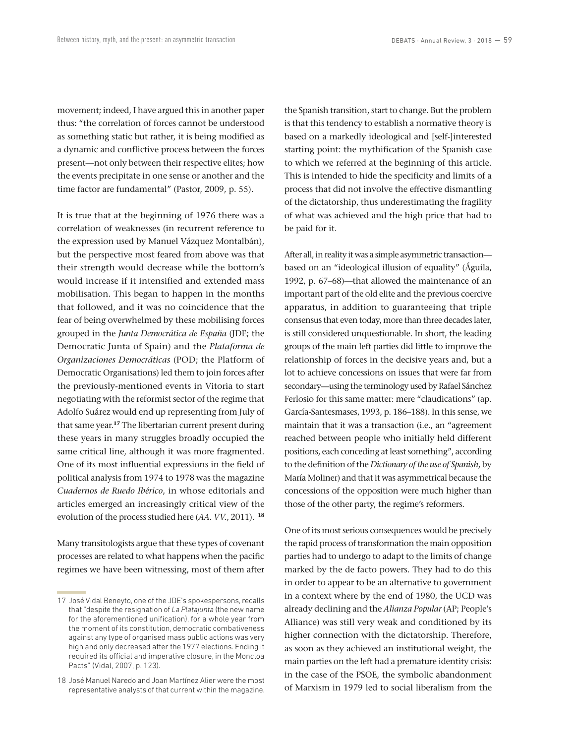movement; indeed, I have argued this in another paper thus: "the correlation of forces cannot be understood as something static but rather, it is being modified as a dynamic and conflictive process between the forces present—not only between their respective elites; how the events precipitate in one sense or another and the time factor are fundamental" (Pastor, 2009, p. 55).

It is true that at the beginning of 1976 there was a correlation of weaknesses (in recurrent reference to the expression used by Manuel Vázquez Montalbán), but the perspective most feared from above was that their strength would decrease while the bottom's would increase if it intensified and extended mass mobilisation. This began to happen in the months that followed, and it was no coincidence that the fear of being overwhelmed by these mobilising forces grouped in the *Junta Democrática de España* (JDE; the Democratic Junta of Spain) and the *Plataforma de Organizaciones Democráticas* (POD; the Platform of Democratic Organisations) led them to join forces after the previously-mentioned events in Vitoria to start negotiating with the reformist sector of the regime that Adolfo Suárez would end up representing from July of that same year.**<sup>17</sup>** The libertarian current present during these years in many struggles broadly occupied the same critical line, although it was more fragmented. One of its most influential expressions in the field of political analysis from 1974 to 1978 was the magazine *Cuadernos de Ruedo Ibérico*, in whose editorials and articles emerged an increasingly critical view of the evolution of the process studied here (*AA. VV.*, 2011). **<sup>18</sup>**

Many transitologists argue that these types of covenant processes are related to what happens when the pacific regimes we have been witnessing, most of them after the Spanish transition, start to change. But the problem is that this tendency to establish a normative theory is based on a markedly ideological and [self-]interested starting point: the mythification of the Spanish case to which we referred at the beginning of this article. This is intended to hide the specificity and limits of a process that did not involve the effective dismantling of the dictatorship, thus underestimating the fragility of what was achieved and the high price that had to be paid for it.

After all, in reality it was a simple asymmetric transaction based on an "ideological illusion of equality" (Águila, 1992, p. 67–68)—that allowed the maintenance of an important part of the old elite and the previous coercive apparatus, in addition to guaranteeing that triple consensus that even today, more than three decades later, is still considered unquestionable. In short, the leading groups of the main left parties did little to improve the relationship of forces in the decisive years and, but a lot to achieve concessions on issues that were far from secondary—using the terminology used by Rafael Sánchez Ferlosio for this same matter: mere "claudications" (ap. García-Santesmases, 1993, p. 186–188). In this sense, we maintain that it was a transaction (i.e., an "agreement reached between people who initially held different positions, each conceding at least something", according to the definition of the *Dictionary of the use of Spanish*, by María Moliner) and that it was asymmetrical because the concessions of the opposition were much higher than those of the other party, the regime's reformers.

One of its most serious consequences would be precisely the rapid process of transformation the main opposition parties had to undergo to adapt to the limits of change marked by the de facto powers. They had to do this in order to appear to be an alternative to government in a context where by the end of 1980, the UCD was already declining and the *Alianza Popular* (AP; People's Alliance) was still very weak and conditioned by its higher connection with the dictatorship. Therefore, as soon as they achieved an institutional weight, the main parties on the left had a premature identity crisis: in the case of the PSOE, the symbolic abandonment of Marxism in 1979 led to social liberalism from the

<sup>17</sup> José Vidal Beneyto, one of the JDE's spokespersons, recalls that "despite the resignation of *La Platajunta* (the new name for the aforementioned unification), for a whole year from the moment of its constitution, democratic combativeness against any type of organised mass public actions was very high and only decreased after the 1977 elections. Ending it required its official and imperative closure, in the Moncloa Pacts" (Vidal, 2007, p. 123).

<sup>18</sup> José Manuel Naredo and Joan Martínez Alier were the most representative analysts of that current within the magazine.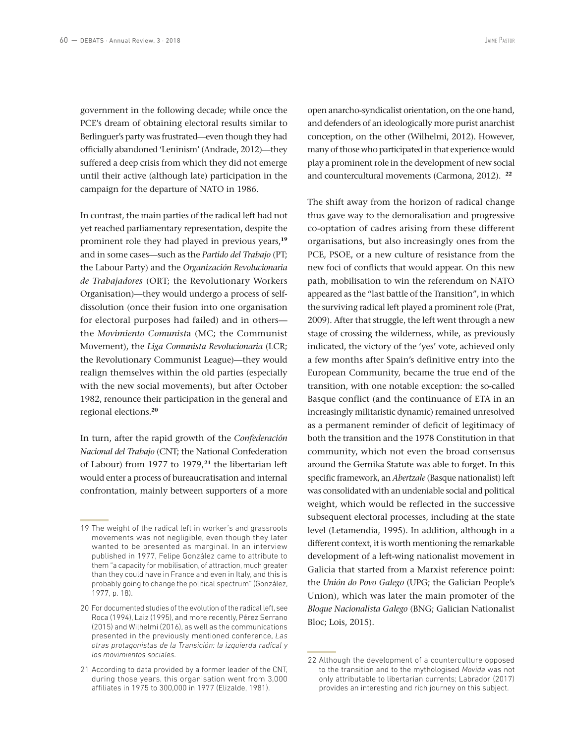government in the following decade; while once the PCE's dream of obtaining electoral results similar to Berlinguer's party was frustrated—even though they had officially abandoned 'Leninism' (Andrade, 2012)—they suffered a deep crisis from which they did not emerge until their active (although late) participation in the campaign for the departure of NATO in 1986.

In contrast, the main parties of the radical left had not yet reached parliamentary representation, despite the prominent role they had played in previous years,**<sup>19</sup>** and in some cases—such as the *Partido del Trabajo* (PT; the Labour Party) and the *Organización Revolucionaria de Trabajadores* (ORT; the Revolutionary Workers Organisation)—they would undergo a process of selfdissolution (once their fusion into one organisation for electoral purposes had failed) and in others the *Movimiento Comunist*a (MC; the Communist Movement), the *Liga Comunista Revolucionaria* (LCR; the Revolutionary Communist League)—they would realign themselves within the old parties (especially with the new social movements), but after October 1982, renounce their participation in the general and regional elections.**<sup>20</sup>**

In turn, after the rapid growth of the *Confederación Nacional del Trabajo* (CNT; the National Confederation of Labour) from 1977 to 1979,**<sup>21</sup>** the libertarian left would enter a process of bureaucratisation and internal confrontation, mainly between supporters of a more open anarcho-syndicalist orientation, on the one hand, and defenders of an ideologically more purist anarchist conception, on the other (Wilhelmi, 2012). However, many of those who participated in that experience would play a prominent role in the development of new social and countercultural movements (Carmona, 2012). **<sup>22</sup>**

The shift away from the horizon of radical change thus gave way to the demoralisation and progressive co-optation of cadres arising from these different organisations, but also increasingly ones from the PCE, PSOE, or a new culture of resistance from the new foci of conflicts that would appear. On this new path, mobilisation to win the referendum on NATO appeared as the "last battle of the Transition", in which the surviving radical left played a prominent role (Prat, 2009). After that struggle, the left went through a new stage of crossing the wilderness, while, as previously indicated, the victory of the 'yes' vote, achieved only a few months after Spain's definitive entry into the European Community, became the true end of the transition, with one notable exception: the so-called Basque conflict (and the continuance of ETA in an increasingly militaristic dynamic) remained unresolved as a permanent reminder of deficit of legitimacy of both the transition and the 1978 Constitution in that community, which not even the broad consensus around the Gernika Statute was able to forget. In this specific framework, an *Abertzale* (Basque nationalist) left was consolidated with an undeniable social and political weight, which would be reflected in the successive subsequent electoral processes, including at the state level (Letamendia, 1995). In addition, although in a different context, it is worth mentioning the remarkable development of a left-wing nationalist movement in Galicia that started from a Marxist reference point: the *Unión do Povo Galego* (UPG; the Galician People's Union), which was later the main promoter of the *Bloque Nacionalista Galego* (BNG; Galician Nationalist Bloc; Lois, 2015).

<sup>19</sup> The weight of the radical left in worker's and grassroots movements was not negligible, even though they later wanted to be presented as marginal. In an interview published in 1977, Felipe González came to attribute to them "a capacity for mobilisation, of attraction, much greater than they could have in France and even in Italy, and this is probably going to change the political spectrum" (González, 1977, p. 18).

<sup>20</sup> For documented studies of the evolution of the radical left, see Roca (1994), Laiz (1995), and more recently, Pérez Serrano (2015) and Wilhelmi (2016), as well as the communications presented in the previously mentioned conference, *Las otras protagonistas de la Transición: la izquierda radical y los movimientos sociales*.

<sup>21</sup> According to data provided by a former leader of the CNT, during those years, this organisation went from 3,000 affiliates in 1975 to 300,000 in 1977 (Elizalde, 1981).

<sup>22</sup> Although the development of a counterculture opposed to the transition and to the mythologised *Movida* was not only attributable to libertarian currents; Labrador (2017) provides an interesting and rich journey on this subject.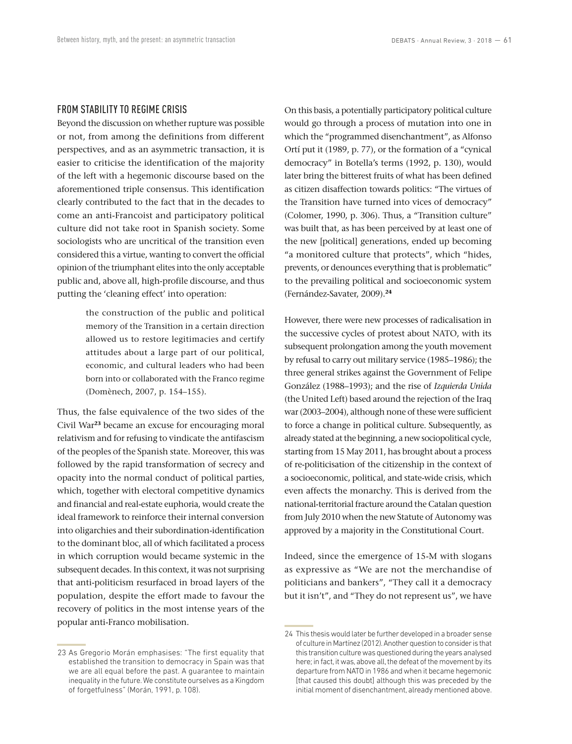## FROM STABILITY TO REGIME CRISIS

Beyond the discussion on whether rupture was possible or not, from among the definitions from different perspectives, and as an asymmetric transaction, it is easier to criticise the identification of the majority of the left with a hegemonic discourse based on the aforementioned triple consensus. This identification clearly contributed to the fact that in the decades to come an anti-Francoist and participatory political culture did not take root in Spanish society. Some sociologists who are uncritical of the transition even considered this a virtue, wanting to convert the official opinion of the triumphant elites into the only acceptable public and, above all, high-profile discourse, and thus putting the 'cleaning effect' into operation:

> the construction of the public and political memory of the Transition in a certain direction allowed us to restore legitimacies and certify attitudes about a large part of our political, economic, and cultural leaders who had been born into or collaborated with the Franco regime (Domènech, 2007, p. 154–155).

Thus, the false equivalence of the two sides of the Civil War**<sup>23</sup>** became an excuse for encouraging moral relativism and for refusing to vindicate the antifascism of the peoples of the Spanish state. Moreover, this was followed by the rapid transformation of secrecy and opacity into the normal conduct of political parties, which, together with electoral competitive dynamics and financial and real-estate euphoria, would create the ideal framework to reinforce their internal conversion into oligarchies and their subordination-identification to the dominant bloc, all of which facilitated a process in which corruption would became systemic in the subsequent decades. In this context, it was not surprising that anti-politicism resurfaced in broad layers of the population, despite the effort made to favour the recovery of politics in the most intense years of the popular anti-Franco mobilisation.

On this basis, a potentially participatory political culture would go through a process of mutation into one in which the "programmed disenchantment", as Alfonso Ortí put it (1989, p. 77), or the formation of a "cynical democracy" in Botella's terms (1992, p. 130), would later bring the bitterest fruits of what has been defined as citizen disaffection towards politics: "The virtues of the Transition have turned into vices of democracy" (Colomer, 1990, p. 306). Thus, a "Transition culture" was built that, as has been perceived by at least one of the new [political] generations, ended up becoming "a monitored culture that protects", which "hides, prevents, or denounces everything that is problematic" to the prevailing political and socioeconomic system (Fernández-Savater, 2009).**<sup>24</sup>**

However, there were new processes of radicalisation in the successive cycles of protest about NATO, with its subsequent prolongation among the youth movement by refusal to carry out military service (1985–1986); the three general strikes against the Government of Felipe González (1988–1993); and the rise of *Izquierda Unida*  (the United Left) based around the rejection of the Iraq war (2003–2004), although none of these were sufficient to force a change in political culture. Subsequently, as already stated at the beginning, a new sociopolitical cycle, starting from 15 May 2011, has brought about a process of re-politicisation of the citizenship in the context of a socioeconomic, political, and state-wide crisis, which even affects the monarchy. This is derived from the national-territorial fracture around the Catalan question from July 2010 when the new Statute of Autonomy was approved by a majority in the Constitutional Court.

Indeed, since the emergence of 15-M with slogans as expressive as "We are not the merchandise of politicians and bankers", "They call it a democracy but it isn't", and "They do not represent us", we have

<sup>23</sup> As Gregorio Morán emphasises: "The first equality that established the transition to democracy in Spain was that we are all equal before the past. A guarantee to maintain inequality in the future. We constitute ourselves as a Kingdom of forgetfulness" (Morán, 1991, p. 108).

<sup>24</sup> This thesis would later be further developed in a broader sense of culture in Martínez (2012). Another question to consider is that this transition culture was questioned during the years analysed here; in fact, it was, above all, the defeat of the movement by its departure from NATO in 1986 and when it became hegemonic [that caused this doubt] although this was preceded by the initial moment of disenchantment, already mentioned above.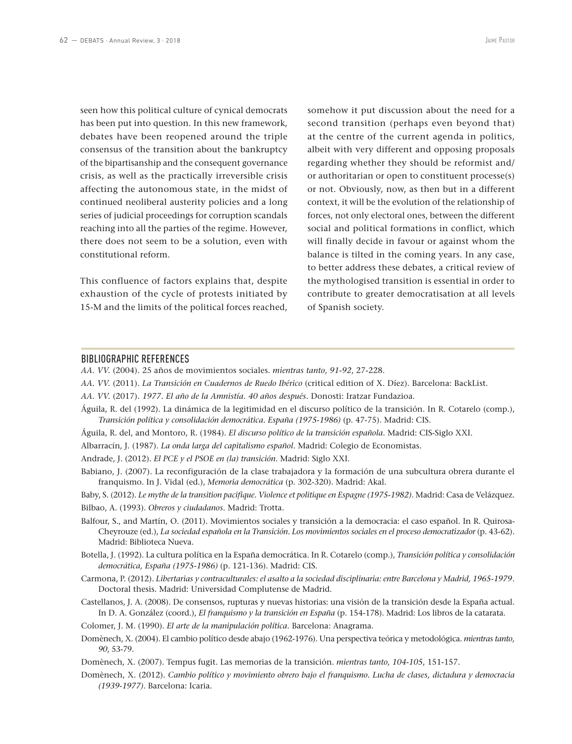seen how this political culture of cynical democrats has been put into question. In this new framework, debates have been reopened around the triple consensus of the transition about the bankruptcy of the bipartisanship and the consequent governance crisis, as well as the practically irreversible crisis affecting the autonomous state, in the midst of continued neoliberal austerity policies and a long series of judicial proceedings for corruption scandals reaching into all the parties of the regime. However, there does not seem to be a solution, even with constitutional reform.

This confluence of factors explains that, despite exhaustion of the cycle of protests initiated by 15-M and the limits of the political forces reached, somehow it put discussion about the need for a second transition (perhaps even beyond that) at the centre of the current agenda in politics, albeit with very different and opposing proposals regarding whether they should be reformist and/ or authoritarian or open to constituent processe(s) or not. Obviously, now, as then but in a different context, it will be the evolution of the relationship of forces, not only electoral ones, between the different social and political formations in conflict, which will finally decide in favour or against whom the balance is tilted in the coming years. In any case, to better address these debates, a critical review of the mythologised transition is essential in order to contribute to greater democratisation at all levels of Spanish society.

#### BIBLIOGRAPHIC REFERENCES

*AA. VV.* (2004). 25 años de movimientos sociales. *mientras tanto, 91-92*, 27-228.

- *AA. VV.* (2011). *La Transición en Cuadernos de Ruedo Ibérico* (critical edition of X. Díez). Barcelona: BackList.
- *AA. VV.* (2017). *1977*. *El año de la Amnistía. 40 años después*. Donosti: Iratzar Fundazioa.
- Águila, R. del (1992). La dinámica de la legitimidad en el discurso político de la transición. In R. Cotarelo (comp.), *Transición política y consolidación democrática. España (1975-1986)* (p. 47-75). Madrid: CIS.
- Águila, R. del, and Montoro, R. (1984). *El discurso político de la transición española*. Madrid: CIS-Siglo XXI.

Albarracín, J. (1987). *La onda larga del capitalismo español*. Madrid: Colegio de Economistas.

Andrade, J. (2012). *El PCE y el PSOE en (la) transición*. Madrid: Siglo XXI.

Babiano, J. (2007). La reconfiguración de la clase trabajadora y la formación de una subcultura obrera durante el franquismo. In J. Vidal (ed.), *Memoria democrática* (p. 302-320). Madrid: Akal.

Baby, S. (2012). *Le mythe de la transition pacifique. Violence et politique en Espagne (1975-1982)*. Madrid: Casa de Velázquez. Bilbao, A. (1993). *Obreros y ciudadanos*. Madrid: Trotta.

- Balfour, S., and Martín, O. (2011). Movimientos sociales y transición a la democracia: el caso español. In R. Quirosa-Cheyrouze (ed.), *La sociedad española en la Transición. Los movimientos sociales en el proceso democratizador* (p. 43-62). Madrid: Biblioteca Nueva.
- Botella, J. (1992). La cultura política en la España democrática. In R. Cotarelo (comp.), *Transición política y consolidación democrática, España (1975-1986)* (p. 121-136). Madrid: CIS.
- Carmona, P. (2012). *Libertarias y contraculturales: el asalto a la sociedad disciplinaria: entre Barcelona y Madrid, 1965-1979*. Doctoral thesis. Madrid: Universidad Complutense de Madrid.
- Castellanos, J. A. (2008). De consensos, rupturas y nuevas historias: una visión de la transición desde la España actual. In D. A. González (coord.), *El franquismo y la transición en España* (p. 154-178). Madrid: Los libros de la catarata.
- Colomer, J. M. (1990). *El arte de la manipulación política*. Barcelona: Anagrama.
- Domènech, X. (2004). El cambio político desde abajo (1962-1976). Una perspectiva teórica y metodológica. *mientras tanto, 90*, 53-79.
- Domènech, X. (2007). Tempus fugit. Las memorias de la transición. *mientras tanto, 104-105*, 151-157.
- Domènech, X. (2012). *Cambio político y movimiento obrero bajo el franquismo. Lucha de clases, dictadura y democracia (1939-1977)*. Barcelona: Icaria.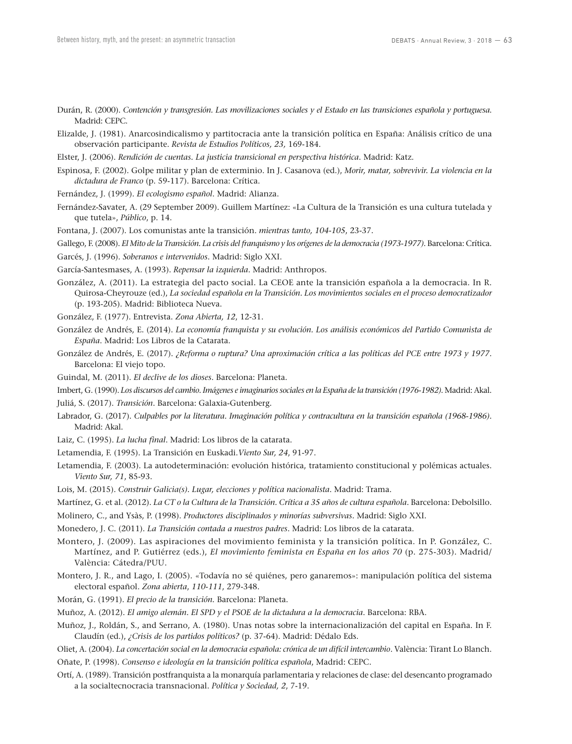- Durán, R. (2000). *Contención y transgresión. Las movilizaciones sociales y el Estado en las transiciones española y portuguesa*. Madrid: CEPC.
- Elizalde, J. (1981). Anarcosindicalismo y partitocracia ante la transición política en España: Análisis crítico de una observación participante. *Revista de Estudios Políticos, 23,* 169-184.
- Elster, J. (2006). *Rendición de cuentas. La justicia transicional en perspectiva histórica*. Madrid: Katz.
- Espinosa, F. (2002). Golpe militar y plan de exterminio. In J. Casanova (ed.), *Morir, matar, sobrevivir. La violencia en la dictadura de Franco* (p. 59-117). Barcelona: Crítica.
- Fernández, J. (1999). *El ecologismo español*. Madrid: Alianza.
- Fernández-Savater, A. (29 September 2009). Guillem Martínez: «La Cultura de la Transición es una cultura tutelada y que tutela», *Público*, p. 14.

Fontana, J. (2007). Los comunistas ante la transición. *mientras tanto, 104-105*, 23-37.

Gallego, F. (2008). *El Mito de la Transición. La crisis del franquismo y los orígenes de la democracia (1973-1977)*. Barcelona: Crítica.

Garcés, J. (1996). *Soberanos e intervenidos*. Madrid: Siglo XXI.

- García-Santesmases, A. (1993). *Repensar la izquierda*. Madrid: Anthropos.
- González, A. (2011). La estrategia del pacto social. La CEOE ante la transición española a la democracia. In R. Quirosa-Cheyrouze (ed.), *La sociedad española en la Transición. Los movimientos sociales en el proceso democratizador*  (p. 193-205). Madrid: Biblioteca Nueva.
- González, F. (1977). Entrevista. *Zona Abierta, 12*, 12-31.
- González de Andrés, E. (2014). *La economía franquista y su evolución. Los análisis económicos del Partido Comunista de España*. Madrid: Los Libros de la Catarata.
- González de Andrés, E. (2017). *¿Reforma o ruptura? Una aproximación crítica a las políticas del PCE entre 1973 y 1977*. Barcelona: El viejo topo.
- Guindal, M. (2011). *El declive de los dioses*. Barcelona: Planeta.
- Imbert, G. (1990). *Los discursos del cambio. Imágenes e imaginarios sociales en la España de la transición (1976-1982)*. Madrid: Akal.

Juliá, S. (2017). *Transición*. Barcelona: Galaxia-Gutenberg.

- Labrador, G. (2017). *Culpables por la literatura. Imaginación política y contracultura en la transición española (1968-1986)*. Madrid: Akal.
- Laiz, C. (1995). *La lucha final*. Madrid: Los libros de la catarata.
- Letamendia, F. (1995). La Transición en Euskadi.*Viento Sur, 24*, 91-97.
- Letamendia, F. (2003). La autodeterminación: evolución histórica, tratamiento constitucional y polémicas actuales. *Viento Sur, 71*, 85-93.
- Lois, M. (2015). *Construir Galicia(s). Lugar, elecciones y política nacionalista*. Madrid: Trama.
- Martínez, G. et al. (2012). *La CT o la Cultura de la Transición. Crítica a 35 años de cultura española*. Barcelona: Debolsillo.
- Molinero, C., and Ysàs, P. (1998). *Productores disciplinados y minorías subversivas.* Madrid: Siglo XXI.
- Monedero, J. C. (2011). *La Transición contada a nuestros padres*. Madrid: Los libros de la catarata.
- Montero, J. (2009). Las aspiraciones del movimiento feminista y la transición política. In P. González, C. Martínez, and P. Gutiérrez (eds.), *El movimiento feminista en España en los años 70* (p. 275-303). Madrid/ València: Cátedra/PUU.
- Montero, J. R., and Lago, I. (2005). «Todavía no sé quiénes, pero ganaremos»: manipulación política del sistema electoral español. *Zona abierta*, *110-111*, 279-348.

Morán, G. (1991). *El precio de la transición.* Barcelona: Planeta.

- Muñoz, A. (2012). *El amigo alemán. El SPD y el PSOE de la dictadura a la democracia*. Barcelona: RBA.
- Muñoz, J., Roldán, S., and Serrano, A. (1980). Unas notas sobre la internacionalización del capital en España. In F. Claudín (ed.), *¿Crisis de los partidos políticos?* (p. 37-64). Madrid: Dédalo Eds.
- Oliet, A. (2004). *La concertación social en la democracia española: crónica de un difícil intercambio*. València: Tirant Lo Blanch. Oñate, P. (1998). *Consenso e ideología en la transición política española*, Madrid: CEPC.
- Ortí, A. (1989). Transición postfranquista a la monarquía parlamentaria y relaciones de clase: del desencanto programado a la socialtecnocracia transnacional. *Política y Sociedad, 2*, 7-19.